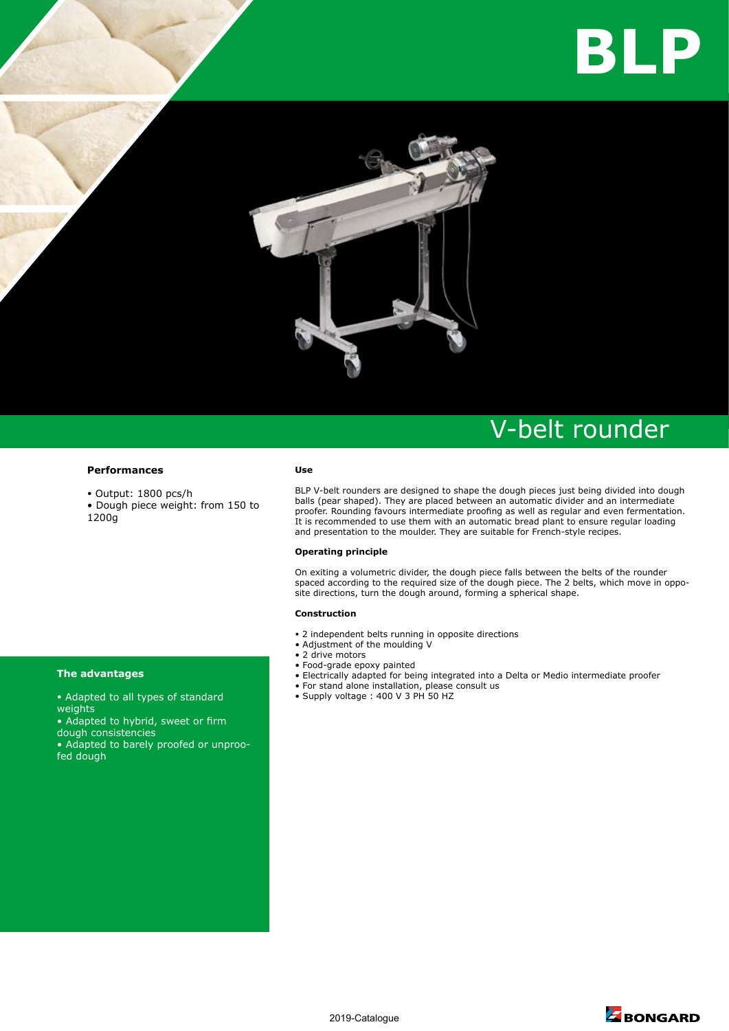



# V-belt rounder

### **Performances**

- Output: 1800 pcs/h
- Dough piece weight: from 150 to 1200g

#### **Use**

BLP V-belt rounders are designed to shape the dough pieces just being divided into dough balls (pear shaped). They are placed between an automatic divider and an intermediate proofer. Rounding favours intermediate proofing as well as regular and even fermentation. It is recommended to use them with an automatic bread plant to ensure regular loading and presentation to the moulder. They are suitable for French-style recipes.

## **Operating principle**

On exiting a volumetric divider, the dough piece falls between the belts of the rounder spaced according to the required size of the dough piece. The 2 belts, which move in opposite directions, turn the dough around, forming a spherical shape.

## **Construction**

- 2 independent belts running in opposite directions
- Adjustment of the moulding V
- 2 drive motors
- Food-grade epoxy painted
- Electrically adapted for being integrated into a Delta or Medio intermediate proofer
- For stand alone installation, please consult us
- Supply voltage : 400 V 3 PH 50 HZ

# **The advantages**

- Adapted to all types of standard weights
- Adapted to hybrid, sweet or firm dough consistencies

• Adapted to barely proofed or unproofed dough